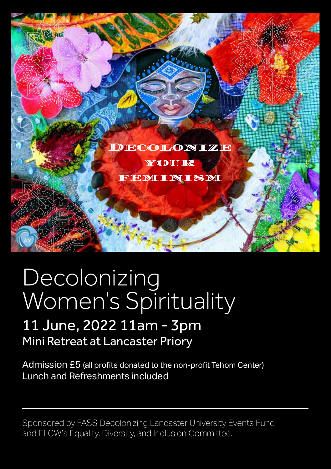

## Decolonizing Women's Spirituality

## 11 June, 2022 11am - 3pm Mini Retreat at Lancaster Priory

Admission £5 (all profits donated to the non-profit Tehom Center) Lunch and Refreshments included

Sponsored by FASS Decolonizing Lancaster University Events Fund and ELCW's Equality, Diversity, and Inclusion Committee.